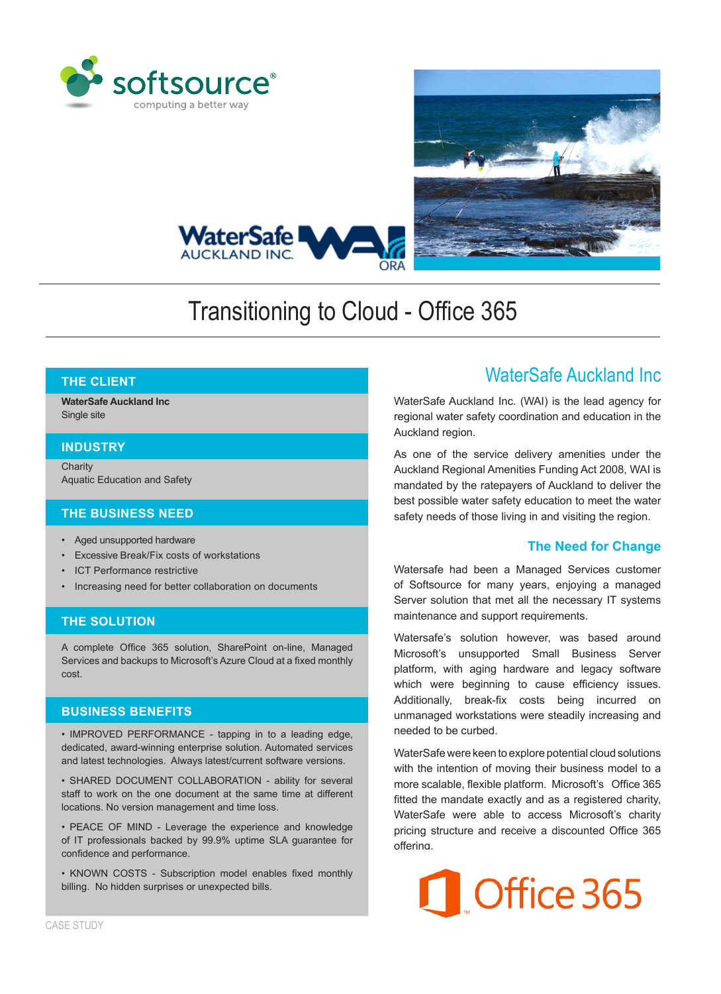





# Transitioning to Cloud - Office 365

# **THE CLIENT**

**WaterSafe Auckland Inc** Single site

### **INDUSTRY**

**Charity** Aquatic Education and Safety

### **THE BUSINESS NEED**

- • Aged unsupported hardware
- • Excessive Break/Fix costs of workstations
- **ICT Performance restrictive**
- Increasing need for better collaboration on documents

# **THE SOLUTION**

A complete Office 365 solution, SharePoint on-line, Managed Services and backups to Microsoft's Azure Cloud at a fixed monthly cost.

### **BUSINESS BENEFITS**

• IMPROVED PERFORMANCE - tapping in to a leading edge, dedicated, award-winning enterprise solution. Automated services and latest technologies. Always latest/current software versions.

• SHARED DOCUMENT COLLABORATION - ability for several staff to work on the one document at the same time at different locations. No version management and time loss.

• PEACE OF MIND - Leverage the experience and knowledge of IT professionals backed by 99.9% uptime SLA guarantee for confidence and performance.

• KNOWN COSTS - Subscription model enables fixed monthly billing. No hidden surprises or unexpected bills.

# WaterSafe Auckland Inc

WaterSafe Auckland Inc. (WAI) is the lead agency for regional water safety coordination and education in the Auckland region.

As one of the service delivery amenities under the Auckland Regional Amenities Funding Act 2008, WAI is mandated by the ratepayers of Auckland to deliver the best possible water safety education to meet the water safety needs of those living in and visiting the region.

# **The Need for Change**

Watersafe had been a Managed Services customer of Softsource for many years, enjoying a managed Server solution that met all the necessary IT systems maintenance and support requirements.

Watersafe's solution however, was based around Microsoft's unsupported Small Business Server platform, with aging hardware and legacy software which were beginning to cause efficiency issues. Additionally, break-fix costs being incurred on unmanaged workstations were steadily increasing and needed to be curbed.

WaterSafe were keen to explore potential cloud solutions with the intention of moving their business model to a more scalable, flexible platform. Microsoft's Office 365 fitted the mandate exactly and as a registered charity, WaterSafe were able to access Microsoft's charity pricing structure and receive a discounted Office 365 offering.